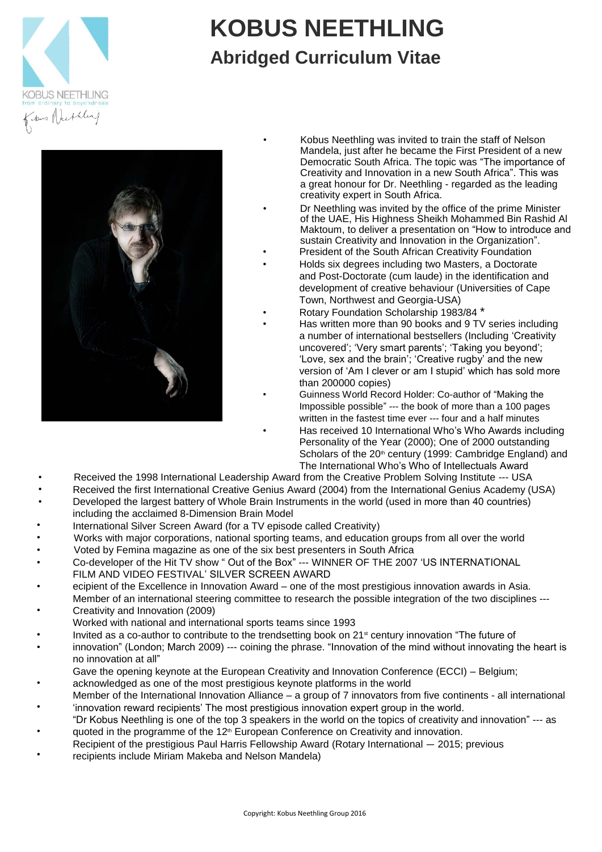

# **KOBUS NEETHLING Abridged Curriculum Vitae**



- Kobus Neethling was invited to train the staff of Nelson Mandela, just after he became the First President of a new Democratic South Africa. The topic was "The importance of Creativity and Innovation in a new South Africa". This was a great honour for Dr. Neethling - regarded as the leading creativity expert in South Africa.
- Dr Neethling was invited by the office of the prime Minister of the UAE, His Highness Sheikh Mohammed Bin Rashid Al Maktoum, to deliver a presentation on "How to introduce and sustain Creativity and Innovation in the Organization".
- President of the South African Creativity Foundation
	- Holds six degrees including two Masters, a Doctorate and Post-Doctorate (cum laude) in the identification and development of creative behaviour (Universities of Cape Town, Northwest and Georgia-USA)
- Rotary Foundation Scholarship 1983/84 \*
	- Has written more than 90 books and 9 TV series including a number of international bestsellers (Including 'Creativity uncovered'; 'Very smart parents'; 'Taking you beyond'; 'Love, sex and the brain'; 'Creative rugby' and the new version of 'Am I clever or am I stupid' which has sold more than 200000 copies)
- Guinness World Record Holder: Co-author of "Making the Impossible possible" --- the book of more than a 100 pages written in the fastest time ever --- four and a half minutes
- Has received 10 International Who's Who Awards including Personality of the Year (2000); One of 2000 outstanding Scholars of the 20<sup>th</sup> century (1999: Cambridge England) and The International Who's Who of Intellectuals Award
- Received the 1998 International Leadership Award from the Creative Problem Solving Institute --- USA
- Received the first International Creative Genius Award (2004) from the International Genius Academy (USA)
- Developed the largest battery of Whole Brain Instruments in the world (used in more than 40 countries) including the acclaimed 8-Dimension Brain Model
- International Silver Screen Award (for a TV episode called Creativity)
- Works with major corporations, national sporting teams, and education groups from all over the world
- Voted by Femina magazine as one of the six best presenters in South Africa
- Co-developer of the Hit TV show " Out of the Box" --- WINNER OF THE 2007 'US INTERNATIONAL FILM AND VIDEO FESTIVAL' SILVER SCREEN AWARD
- ecipient of the Excellence in Innovation Award – one of the most prestigious innovation awards in Asia.
- Member of an international steering committee to research the possible integration of the two disciplines --- Creativity and Innovation (2009)
- Worked with national and international sports teams since 1993
- Invited as a co-author to contribute to the trendsetting book on 21<sup>st</sup> century innovation "The future of
- innovation" (London; March 2009) --- coining the phrase. "Innovation of the mind without innovating the heart is no innovation at all"
- Gave the opening keynote at the European Creativity and Innovation Conference (ECCI) Belgium;
- acknowledged as one of the most prestigious keynote platforms in the world
- Member of the International Innovation Alliance – a group of 7 innovators from five continents - all international 'innovation reward recipients' The most prestigious innovation expert group in the world.
- "Dr Kobus Neethling is one of the top 3 speakers in the world on the topics of creativity and innovation" --- as quoted in the programme of the 12<sup>th</sup> European Conference on Creativity and innovation.
- Recipient of the prestigious Paul Harris Fellowship Award (Rotary International 2015; previous
- recipients include Miriam Makeba and Nelson Mandela)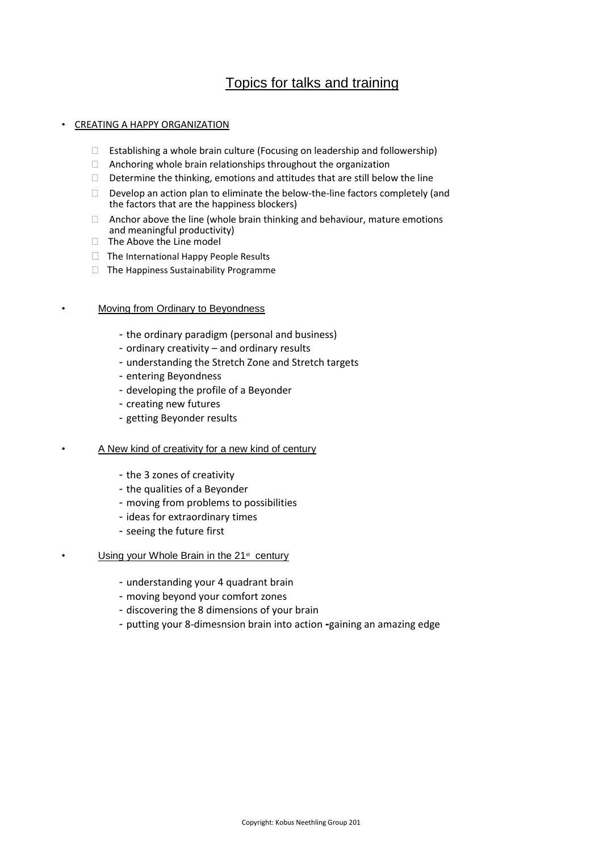# Topics for talks and training

## • CREATING A HAPPY ORGANIZATION

- $\Box$  Establishing a whole brain culture (Focusing on leadership and followership)
- $\Box$  Anchoring whole brain relationships throughout the organization
- $\Box$  Determine the thinking, emotions and attitudes that are still below the line
- Develop an action plan to eliminate the below-the-line factors completely (and the factors that are the happiness blockers)
- $\Box$  Anchor above the line (whole brain thinking and behaviour, mature emotions and meaningful productivity)
- $\Box$  The Above the Line model
- $\Box$  The International Happy People Results
- The Happiness Sustainability Programme

### **Moving from Ordinary to Beyondness**

- the ordinary paradigm (personal and business)
- ordinary creativity and ordinary results
- understanding the Stretch Zone and Stretch targets
- entering Beyondness
- developing the profile of a Beyonder
- creating new futures
- getting Beyonder results

#### • A New kind of creativity for a new kind of century

- the 3 zones of creativity
- the qualities of a Beyonder
- moving from problems to possibilities
- ideas for extraordinary times
- seeing the future first

#### • Using your Whole Brain in the 21<sup>st</sup> century

- understanding your 4 quadrant brain
- moving beyond your comfort zones
- discovering the 8 dimensions of your brain
- putting your 8‐dimesnsion brain into action **-**gaining an amazing edge